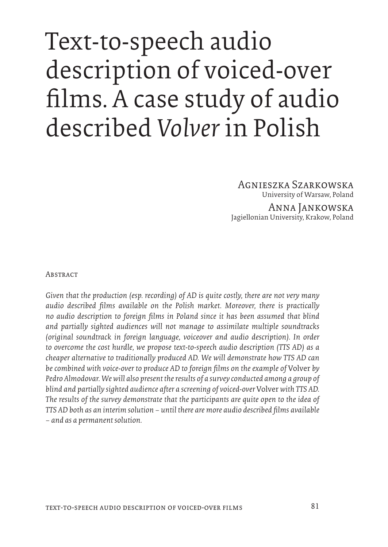# Text-to-speech audio description of voiced-over films. A case study of audio described *Volver* in Polish

Agnieszka Szarkowska University of Warsaw, Poland

Anna Jankowska Jagiellonian University, Krakow, Poland

**ABSTRACT** 

*Given that the production (esp. recording) of AD is quite costly, there are not very many audio described films available on the Polish market. Moreover, there is practically no audio description to foreign films in Poland since it has been assumed that blind and partially sighted audiences will not manage to assimilate multiple soundtracks (original soundtrack in foreign language, voiceover and audio description). In order to overcome the cost hurdle, we propose text-to-speech audio description (TTS AD) as a cheaper alternative to traditionally produced AD. We will demonstrate how TTS AD can be combined with voice-over to produce AD to foreign films on the example of* Volver *by Pedro Almodovar. We will also present the results of a survey conducted among a group of blind and partially sighted audience after a screening of voiced-over* Volver *with TTS AD. The results of the survey demonstrate that the participants are quite open to the idea of TTS AD both as an interim solution – until there are more audio described films available – and as a permanent solution.*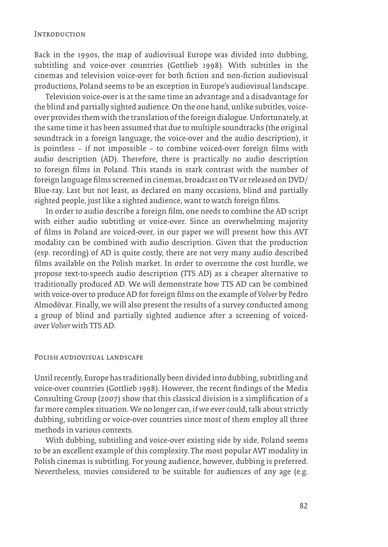#### **INTRODUCTION**

Back in the 1990s, the map of audiovisual Europe was divided into dubbing, subtitling and voice-over countries (Gottlieb 1998). With subtitles in the cinemas and television voice-over for both fiction and non-fiction audiovisual productions, Poland seems to be an exception in Europe's audiovisual landscape.

Television voice-over is at the same time an advantage and a disadvantage for the blind and partially sighted audience. On the one hand, unlike subtitles, voiceover provides them with the translation of the foreign dialogue. Unfortunately, at the same time it has been assumed that due to multiple soundtracks (the original soundtrack in a foreign language, the voice-over and the audio description), it is pointless – if not impossible – to combine voiced-over foreign films with audio description (AD). Therefore, there is practically no audio description to foreign films in Poland. This stands in stark contrast with the number of foreign language films screened in cinemas, broadcast on TV or released on DVD/ Blue-ray. Last but not least, as declared on many occasions, blind and partially sighted people, just like a sighted audience, want to watch foreign films.

In order to audio describe a foreign film, one needs to combine the AD script with either audio subtitling or voice-over. Since an overwhelming majority of films in Poland are voiced-over, in our paper we will present how this AVT modality can be combined with audio description. Given that the production (esp. recording) of AD is quite costly, there are not very many audio described films available on the Polish market. In order to overcome the cost hurdle, we propose text-to-speech audio description (TTS AD) as a cheaper alternative to traditionally produced AD. We will demonstrate how TTS AD can be combined with voice-over to produce AD for foreign films on the example of *Volver* by Pedro Almodóvar. Finally, we will also present the results of a survey conducted among a group of blind and partially sighted audience after a screening of voicedover *Volver* with TTS AD.

#### Polish audiovisual landscape

Until recently, Europe has traditionally been divided into dubbing, subtitling and voice-over countries (Gottlieb 1998). However, the recent findings of the Media Consulting Group (2007) show that this classical division is a simplification of a far more complex situation. We no longer can, if we ever could, talk about strictly dubbing, subtitling or voice-over countries since most of them employ all three methods in various contexts.

With dubbing, subtitling and voice-over existing side by side, Poland seems to be an excellent example of this complexity. The most popular AVT modality in Polish cinemas is subtitling. For young audience, however, dubbing is preferred. Nevertheless, movies considered to be suitable for audiences of any age (e.g.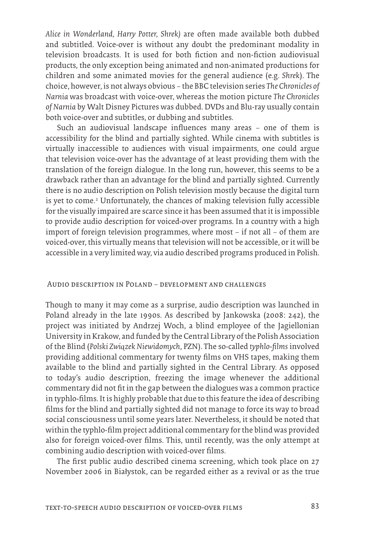*Alice in Wonderland, Harry Potter, Shrek)* are often made available both dubbed and subtitled. Voice-over is without any doubt the predominant modality in television broadcasts. It is used for both fiction and non-fiction audiovisual products, the only exception being animated and non-animated productions for children and some animated movies for the general audience (e.g. *Shrek*). The choice, however, is not always obvious – the BBC television series *The Chronicles of Narnia* was broadcast with voice-over, whereas the motion picture *The Chronicles of Narnia* by Walt Disney Pictures was dubbed. DVDs and Blu-ray usually contain both voice-over and subtitles, or dubbing and subtitles.

Such an audiovisual landscape influences many areas – one of them is accessibility for the blind and partially sighted. While cinema with subtitles is virtually inaccessible to audiences with visual impairments, one could argue that television voice-over has the advantage of at least providing them with the translation of the foreign dialogue. In the long run, however, this seems to be a drawback rather than an advantage for the blind and partially sighted. Currently there is no audio description on Polish television mostly because the digital turn is yet to come.<sup>2</sup> Unfortunately, the chances of making television fully accessible for the visually impaired are scarce since it has been assumed that it is impossible to provide audio description for voiced-over programs. In a country with a high import of foreign television programmes, where most – if not all – of them are voiced-over, this virtually means that television will not be accessible, or it will be accessible in a very limited way, via audio described programs produced in Polish.

#### Audio description in Poland – development and challenges

Though to many it may come as a surprise, audio description was launched in Poland already in the late 1990s. As described by Jankowska (2008: 242), the project was initiated by Andrzej Woch, a blind employee of the Jagiellonian University in Krakow, and funded by the Central Library of the Polish Association of the Blind (*Polski Związek Niewidomych*, PZN). The so-called *typhlo-films* involved providing additional commentary for twenty films on VHS tapes, making them available to the blind and partially sighted in the Central Library. As opposed to today's audio description, freezing the image whenever the additional commentary did not fit in the gap between the dialogues was a common practice in typhlo-films. It is highly probable that due to this feature the idea of describing films for the blind and partially sighted did not manage to force its way to broad social consciousness until some years later. Nevertheless, it should be noted that within the typhlo-film project additional commentary for the blind was provided also for foreign voiced-over films. This, until recently, was the only attempt at combining audio description with voiced-over films.

The first public audio described cinema screening, which took place on 27 November 2006 in Białystok, can be regarded either as a revival or as the true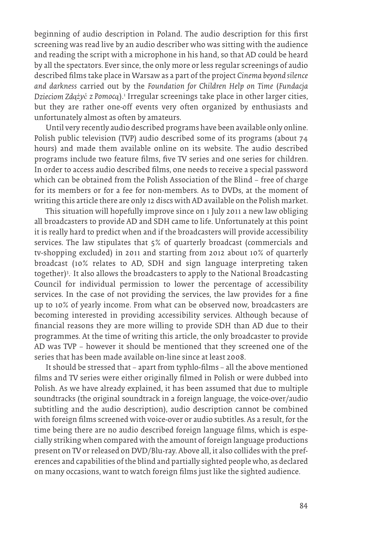beginning of audio description in Poland. The audio description for this first screening was read live by an audio describer who was sitting with the audience and reading the script with a microphone in his hand, so that AD could be heard by all the spectators. Ever since, the only more or less regular screenings of audio described films take place in Warsaw as a part of the project *Cinema beyond silence and darkness* carried out by the *Foundation for Children Help on Time* (*Fundacja Dzieciom Zdążyć z Pomocą*).1 Irregular screenings take place in other larger cities, but they are rather one-off events very often organized by enthusiasts and unfortunately almost as often by amateurs.

Until very recently audio described programs have been available only online. Polish public television (TVP) audio described some of its programs (about 74 hours) and made them available online on its website. The audio described programs include two feature films, five TV series and one series for children. In order to access audio described films, one needs to receive a special password which can be obtained from the Polish Association of the Blind – free of charge for its members or for a fee for non-members. As to DVDs, at the moment of writing this article there are only 12 discs with AD available on the Polish market.

This situation will hopefully improve since on 1 July 2011 a new law obliging all broadcasters to provide AD and SDH came to life. Unfortunately at this point it is really hard to predict when and if the broadcasters will provide accessibility services. The law stipulates that 5% of quarterly broadcast (commercials and tv-shopping excluded) in 2011 and starting from 2012 about 10% of quarterly broadcast (10% relates to AD, SDH and sign language interpreting taken together)3 . . It also allows the broadcasters to apply to the National Broadcasting Council for individual permission to lower the percentage of accessibility services. In the case of not providing the services, the law provides for a fine up to 10% of yearly income. From what can be observed now, broadcasters are becoming interested in providing accessibility services. Although because of financial reasons they are more willing to provide SDH than AD due to their programmes. At the time of writing this article, the only broadcaster to provide AD was TVP – however it should be mentioned that they screened one of the series that has been made available on-line since at least 2008.

It should be stressed that – apart from typhlo-films – all the above mentioned films and TV series were either originally filmed in Polish or were dubbed into Polish. As we have already explained, it has been assumed that due to multiple soundtracks (the original soundtrack in a foreign language, the voice-over/audio subtitling and the audio description), audio description cannot be combined with foreign films screened with voice-over or audio subtitles. As a result, for the time being there are no audio described foreign language films, which is especially striking when compared with the amount of foreign language productions present on TV or released on DVD/Blu-ray. Above all, it also collides with the preferences and capabilities of the blind and partially sighted people who, as declared on many occasions, want to watch foreign films just like the sighted audience.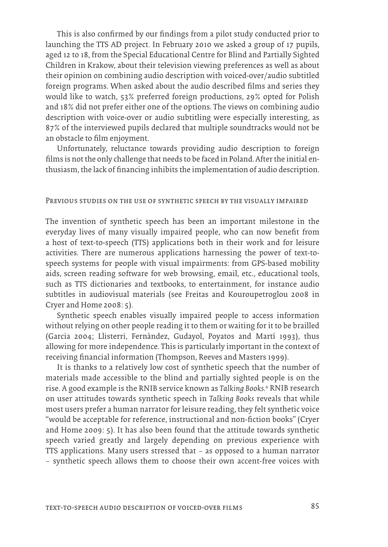This is also confirmed by our findings from a pilot study conducted prior to launching the TTS AD project. In February 2010 we asked a group of 17 pupils, aged 12 to 18, from the Special Educational Centre for Blind and Partially Sighted Children in Krakow, about their television viewing preferences as well as about their opinion on combining audio description with voiced-over/audio subtitled foreign programs. When asked about the audio described films and series they would like to watch, 53% preferred foreign productions, 29% opted for Polish and 18% did not prefer either one of the options. The views on combining audio description with voice-over or audio subtitling were especially interesting, as 87% of the interviewed pupils declared that multiple soundtracks would not be an obstacle to film enjoyment.

Unfortunately, reluctance towards providing audio description to foreign films is not the only challenge that needs to be faced in Poland. After the initial enthusiasm, the lack of financing inhibits the implementation of audio description.

#### Previous studies on the use of synthetic speech by the visually impaired

The invention of synthetic speech has been an important milestone in the everyday lives of many visually impaired people, who can now benefit from a host of text-to-speech (TTS) applications both in their work and for leisure activities. There are numerous applications harnessing the power of text-tospeech systems for people with visual impairments: from GPS-based mobility aids, screen reading software for web browsing, email, etc., educational tools, such as TTS dictionaries and textbooks, to entertainment, for instance audio subtitles in audiovisual materials (see Freitas and Kouroupetroglou 2008 in Cryer and Home 2008: 5).

Synthetic speech enables visually impaired people to access information without relying on other people reading it to them or waiting for it to be brailled (Garcia 2004; Llisterri, Fernàndez, Gudayol, Poyatos and Martí 1993), thus allowing for more independence. This is particularly important in the context of receiving financial information (Thompson, Reeves and Masters 1999).

It is thanks to a relatively low cost of synthetic speech that the number of materials made accessible to the blind and partially sighted people is on the rise. A good example is the RNIB service known as *Talking Books.*4 RNIB research on user attitudes towards synthetic speech in *Talking Books* reveals that while most users prefer a human narrator for leisure reading, they felt synthetic voice "would be acceptable for reference, instructional and non-fiction books" (Cryer and Home 2009: 5). It has also been found that the attitude towards synthetic speech varied greatly and largely depending on previous experience with TTS applications. Many users stressed that – as opposed to a human narrator – synthetic speech allows them to choose their own accent-free voices with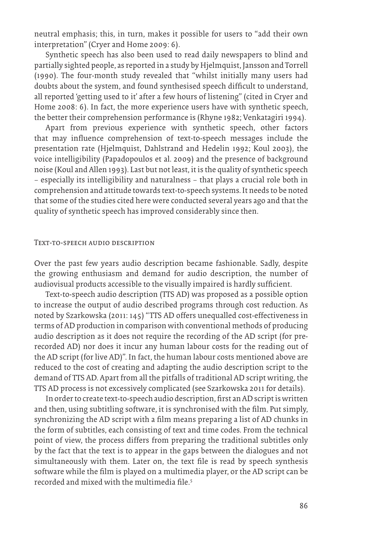neutral emphasis; this, in turn, makes it possible for users to "add their own interpretation" (Cryer and Home 2009: 6).

Synthetic speech has also been used to read daily newspapers to blind and partially sighted people, as reported in a study by Hjelmquist, Jansson and Torrell (1990). The four-month study revealed that "whilst initially many users had doubts about the system, and found synthesised speech difficult to understand, all reported 'getting used to it' after a few hours of listening" (cited in Cryer and Home 2008: 6). In fact, the more experience users have with synthetic speech, the better their comprehension performance is (Rhyne 1982; Venkatagiri 1994).

Apart from previous experience with synthetic speech, other factors that may influence comprehension of text-to-speech messages include the presentation rate (Hjelmquist, Dahlstrand and Hedelin 1992; Koul 2003), the voice intelligibility (Papadopoulos et al. 2009) and the presence of background noise (Koul and Allen 1993). Last but not least, it is the quality of synthetic speech – especially its intelligibility and naturalness – that plays a crucial role both in comprehension and attitude towards text-to-speech systems. It needs to be noted that some of the studies cited here were conducted several years ago and that the quality of synthetic speech has improved considerably since then.

#### Text-to-speech audio description

Over the past few years audio description became fashionable. Sadly, despite the growing enthusiasm and demand for audio description, the number of audiovisual products accessible to the visually impaired is hardly sufficient.

Text-to-speech audio description (TTS AD) was proposed as a possible option to increase the output of audio described programs through cost reduction. As noted by Szarkowska (2011: 145) "TTS AD offers unequalled cost-effectiveness in terms of AD production in comparison with conventional methods of producing audio description as it does not require the recording of the AD script (for prerecorded AD) nor does it incur any human labour costs for the reading out of the AD script (for live AD)". In fact, the human labour costs mentioned above are reduced to the cost of creating and adapting the audio description script to the demand of TTS AD. Apart from all the pitfalls of traditional AD script writing, the TTS AD process is not excessively complicated (see Szarkowska 2011 for details).

In order to create text-to-speech audio description, first an AD script is written and then, using subtitling software, it is synchronised with the film. Put simply, synchronizing the AD script with a film means preparing a list of AD chunks in the form of subtitles, each consisting of text and time codes. From the technical point of view, the process differs from preparing the traditional subtitles only by the fact that the text is to appear in the gaps between the dialogues and not simultaneously with them. Later on, the text file is read by speech synthesis software while the film is played on a multimedia player, or the AD script can be recorded and mixed with the multimedia file.<sup>5</sup>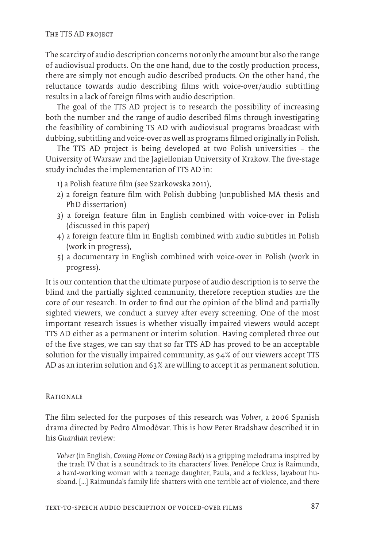The scarcity of audio description concerns not only the amount but also the range of audiovisual products. On the one hand, due to the costly production process, there are simply not enough audio described products. On the other hand, the reluctance towards audio describing films with voice-over/audio subtitling results in a lack of foreign films with audio description.

The goal of the TTS AD project is to research the possibility of increasing both the number and the range of audio described films through investigating the feasibility of combining TS AD with audiovisual programs broadcast with dubbing, subtitling and voice-over as well as programs filmed originally in Polish.

The TTS AD project is being developed at two Polish universities – the University of Warsaw and the Jagiellonian University of Krakow. The five-stage study includes the implementation of TTS AD in:

- 1) a Polish feature film (see Szarkowska 2011),
- 2) a foreign feature film with Polish dubbing (unpublished MA thesis and PhD dissertation)
- 3) a foreign feature film in English combined with voice-over in Polish (discussed in this paper)
- 4) a foreign feature film in English combined with audio subtitles in Polish (work in progress),
- 5) a documentary in English combined with voice-over in Polish (work in progress).

It is our contention that the ultimate purpose of audio description is to serve the blind and the partially sighted community, therefore reception studies are the core of our research. In order to find out the opinion of the blind and partially sighted viewers, we conduct a survey after every screening. One of the most important research issues is whether visually impaired viewers would accept TTS AD either as a permanent or interim solution. Having completed three out of the five stages, we can say that so far TTS AD has proved to be an acceptable solution for the visually impaired community, as 94% of our viewers accept TTS AD as an interim solution and 63% are willing to accept it as permanent solution.

## **RATIONALE**

The film selected for the purposes of this research was *Volver*, a 2006 Spanish drama directed by Pedro Almodóvar. This is how Peter Bradshaw described it in his *Guardian* review:

*Volver* (in English, *Coming Home* or *Coming Back*) is a gripping melodrama inspired by the trash TV that is a soundtrack to its characters' lives. Penélope Cruz is Raimunda, a hard-working woman with a teenage daughter, Paula, and a feckless, layabout husband. [...] Raimunda's family life shatters with one terrible act of violence, and there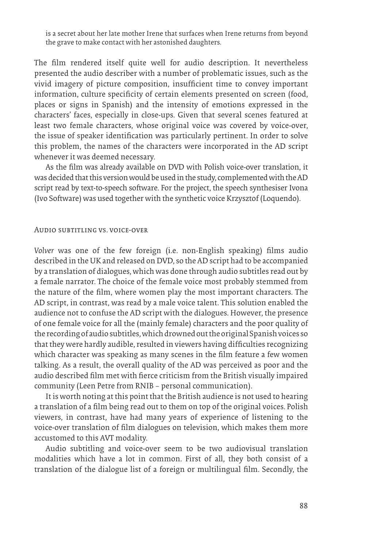is a secret about her late mother Irene that surfaces when Irene returns from beyond the grave to make contact with her astonished daughters.

The film rendered itself quite well for audio description. It nevertheless presented the audio describer with a number of problematic issues, such as the vivid imagery of picture composition, insufficient time to convey important information, culture specificity of certain elements presented on screen (food, places or signs in Spanish) and the intensity of emotions expressed in the characters' faces, especially in close-ups. Given that several scenes featured at least two female characters, whose original voice was covered by voice-over, the issue of speaker identification was particularly pertinent. In order to solve this problem, the names of the characters were incorporated in the AD script whenever it was deemed necessary.

As the film was already available on DVD with Polish voice-over translation, it was decided that this version would be used in the study, complemented with the AD script read by text-to-speech software. For the project, the speech synthesiser Ivona (Ivo Software) was used together with the synthetic voice Krzysztof (Loquendo).

#### Audio subtitling vs. voice-over

*Volver* was one of the few foreign (i.e. non-English speaking) films audio described in the UK and released on DVD, so the AD script had to be accompanied by a translation of dialogues, which was done through audio subtitles read out by a female narrator. The choice of the female voice most probably stemmed from the nature of the film, where women play the most important characters. The AD script, in contrast, was read by a male voice talent. This solution enabled the audience not to confuse the AD script with the dialogues. However, the presence of one female voice for all the (mainly female) characters and the poor quality of the recording of audio subtitles, which drowned out the original Spanish voices so that they were hardly audible, resulted in viewers having difficulties recognizing which character was speaking as many scenes in the film feature a few women talking. As a result, the overall quality of the AD was perceived as poor and the audio described film met with fierce criticism from the British visually impaired community (Leen Petre from RNIB – personal communication).

It is worth noting at this point that the British audience is not used to hearing a translation of a film being read out to them on top of the original voices. Polish viewers, in contrast, have had many years of experience of listening to the voice-over translation of film dialogues on television, which makes them more accustomed to this AVT modality.

Audio subtitling and voice-over seem to be two audiovisual translation modalities which have a lot in common. First of all, they both consist of a translation of the dialogue list of a foreign or multilingual film. Secondly, the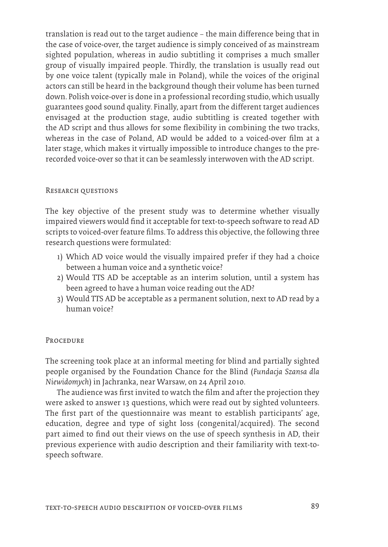translation is read out to the target audience – the main difference being that in the case of voice-over, the target audience is simply conceived of as mainstream sighted population, whereas in audio subtitling it comprises a much smaller group of visually impaired people. Thirdly, the translation is usually read out by one voice talent (typically male in Poland), while the voices of the original actors can still be heard in the background though their volume has been turned down. Polish voice-over is done in a professional recording studio, which usually guarantees good sound quality. Finally, apart from the different target audiences envisaged at the production stage, audio subtitling is created together with the AD script and thus allows for some flexibility in combining the two tracks, whereas in the case of Poland, AD would be added to a voiced-over film at a later stage, which makes it virtually impossible to introduce changes to the prerecorded voice-over so that it can be seamlessly interwoven with the AD script.

## RESEARCH QUESTIONS

The key objective of the present study was to determine whether visually impaired viewers would find it acceptable for text-to-speech software to read AD scripts to voiced-over feature films. To address this objective, the following three research questions were formulated:

- 1) Which AD voice would the visually impaired prefer if they had a choice between a human voice and a synthetic voice?
- 2) Would TTS AD be acceptable as an interim solution, until a system has been agreed to have a human voice reading out the AD?
- 3) Would TTS AD be acceptable as a permanent solution, next to AD read by a human voice?

#### **PROCEDURE**

The screening took place at an informal meeting for blind and partially sighted people organised by the Foundation Chance for the Blind (*Fundacja Szansa dla Niewidomych*) in Jachranka, near Warsaw, on 24 April 2010.

The audience was first invited to watch the film and after the projection they were asked to answer 13 questions, which were read out by sighted volunteers. The first part of the questionnaire was meant to establish participants' age, education, degree and type of sight loss (congenital/acquired). The second part aimed to find out their views on the use of speech synthesis in AD, their previous experience with audio description and their familiarity with text-tospeech software.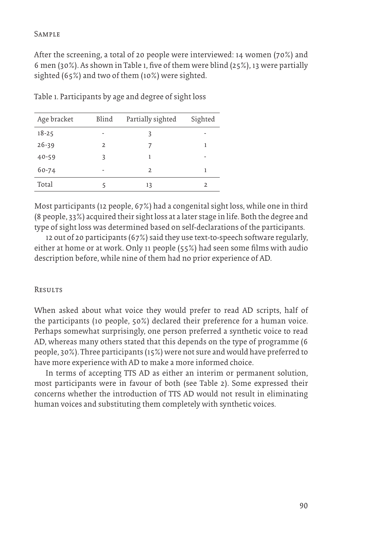## Sample

After the screening, a total of 20 people were interviewed: 14 women (70%) and 6 men (30%). As shown in Table 1, five of them were blind (25%), 13 were partially sighted (65%) and two of them (10%) were sighted.

| Table 1. Participants by age and degree of sight loss |  |
|-------------------------------------------------------|--|
|-------------------------------------------------------|--|

| Age bracket | Blind          | Partially sighted | Sighted |
|-------------|----------------|-------------------|---------|
| $18 - 25$   | ۰              | 3                 |         |
| $26 - 39$   | $\overline{2}$ |                   | 1       |
| $40 - 59$   | 3              |                   |         |
| $60 - 74$   |                | $\mathcal{P}$     | 1       |
| Total       | ς              | 13                |         |

Most participants (12 people, 67%) had a congenital sight loss, while one in third (8 people, 33%) acquired their sight loss at a later stage in life. Both the degree and type of sight loss was determined based on self-declarations of the participants.

12 out of 20 participants (67%) said they use text-to-speech software regularly, either at home or at work. Only 11 people (55%) had seen some films with audio description before, while nine of them had no prior experience of AD.

## **RESULTS**

When asked about what voice they would prefer to read AD scripts, half of the participants (10 people, 50%) declared their preference for a human voice. Perhaps somewhat surprisingly, one person preferred a synthetic voice to read AD, whereas many others stated that this depends on the type of programme (6 people, 30%). Three participants (15%) were not sure and would have preferred to have more experience with AD to make a more informed choice.

In terms of accepting TTS AD as either an interim or permanent solution, most participants were in favour of both (see Table 2). Some expressed their concerns whether the introduction of TTS AD would not result in eliminating human voices and substituting them completely with synthetic voices.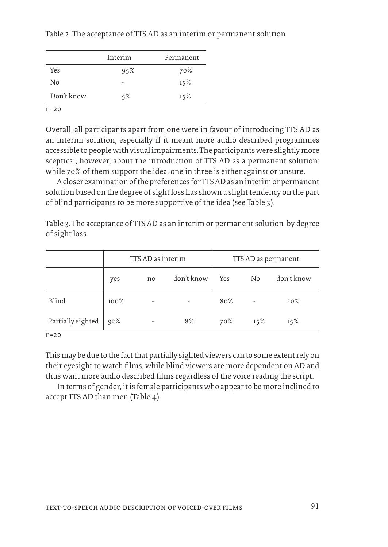|            | Interim | Permanent |
|------------|---------|-----------|
| Yes        | 95%     | 70%       |
| No         |         | 15%       |
| Don't know | 5%      | 15%       |

Table 2. The acceptance of TTS AD as an interim or permanent solution

 $n=20$ 

Overall, all participants apart from one were in favour of introducing TTS AD as an interim solution, especially if it meant more audio described programmes accessible to people with visual impairments. The participants were slightly more sceptical, however, about the introduction of TTS AD as a permanent solution: while 70% of them support the idea, one in three is either against or unsure.

A closer examination of the preferences for TTS AD as an interim or permanent solution based on the degree of sight loss has shown a slight tendency on the part of blind participants to be more supportive of the idea (see Table 3).

Table 3. The acceptance of TTS AD as an interim or permanent solution by degree of sight loss

|                   |         | TTS AD as interim        |            |     | TTS AD as permanent |            |  |
|-------------------|---------|--------------------------|------------|-----|---------------------|------------|--|
|                   | yes     | no                       | don't know | Yes | N <sub>0</sub>      | don't know |  |
| Blind             | $100\%$ | $\overline{\phantom{a}}$ |            | 80% |                     | 20%        |  |
| Partially sighted | 92%     | ٠                        | 8%         | 70% | 15%                 | 15%        |  |

n=20

This may be due to the fact that partially sighted viewers can to some extent rely on their eyesight to watch films, while blind viewers are more dependent on AD and thus want more audio described films regardless of the voice reading the script.

In terms of gender, it is female participants who appear to be more inclined to accept TTS AD than men (Table 4).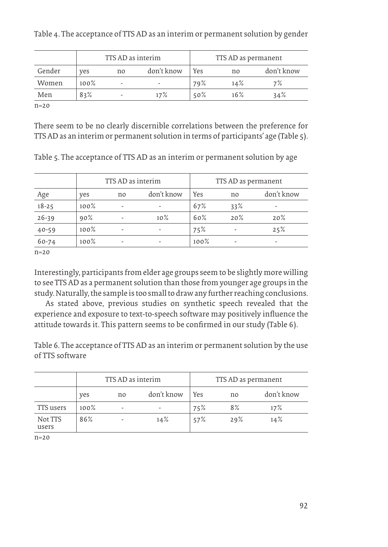|        | TTS AD as interim |    |            | TTS AD as permanent |        |            |
|--------|-------------------|----|------------|---------------------|--------|------------|
| Gender | ves               | no | don't know | Yes                 | no     | don't know |
| Women  | 100%              |    |            | 79%                 | 14%    | 7%         |
| Men    | 83%               |    | 17%        | 50%                 | $16\%$ | 34%        |

Table 4. The acceptance of TTS AD as an interim or permanent solution by gender

n=20

There seem to be no clearly discernible correlations between the preference for TTS AD as an interim or permanent solution in terms of participants' age (Table 5).

| Table 5. The acceptance of TTS AD as an interim or permanent solution by age |  |  |  |
|------------------------------------------------------------------------------|--|--|--|
|                                                                              |  |  |  |

|           | TTS AD as interim |     |            |      | TTS AD as permanent |            |
|-----------|-------------------|-----|------------|------|---------------------|------------|
| Age       | ves               | no. | don't know | Yes  | no                  | don't know |
| $18 - 25$ | $100\%$           |     |            | 67%  | 33%                 |            |
| $26 - 39$ | 90%               |     | $10\%$     | 60%  | 20%                 | 20%        |
| $40 - 59$ | $100\%$           | ۰   | ۰          | 75%  | ۰                   | 25%        |
| 60-74     | $100\%$           | ۰   | ۰          | 100% | ۰                   | ۰          |

n=20

Interestingly, participants from elder age groups seem to be slightly more willing to see TTS AD as a permanent solution than those from younger age groups in the study. Naturally, the sample is too small to draw any further reaching conclusions.

As stated above, previous studies on synthetic speech revealed that the experience and exposure to text-to-speech software may positively influence the attitude towards it. This pattern seems to be confirmed in our study (Table 6).

Table 6. The acceptance of TTS AD as an interim or permanent solution by the use of TTS software

|                  | TTS AD as interim |     |            | TTS AD as permanent |     |            |
|------------------|-------------------|-----|------------|---------------------|-----|------------|
|                  | ves               | no. | don't know | Yes                 | no  | don't know |
| TTS users        | $100\%$           |     | ۰          | 75%                 | 8%  | 17%        |
| Not TTS<br>users | 86%               |     | 14%        | 57%                 | 29% | 14%        |

n=20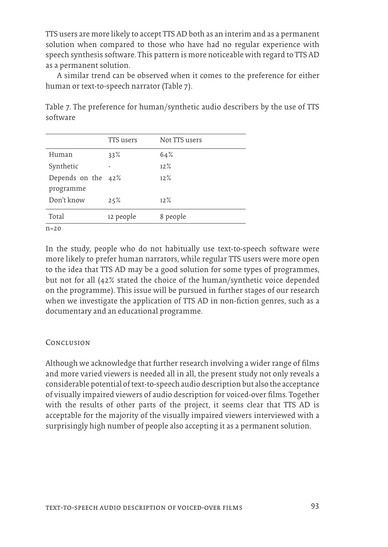TTS users are more likely to accept TTS AD both as an interim and as a permanent solution when compared to those who have had no regular experience with speech synthesis software. This pattern is more noticeable with regard to TTS AD as a permanent solution.

A similar trend can be observed when it comes to the preference for either human or text-to-speech narrator (Table 7).

|                    | TTS users | Not TTS users |
|--------------------|-----------|---------------|
| Human              | 33%       | 64%           |
| Synthetic          |           | 12%           |
| Depends on the 42% |           | 12%           |
| programme          |           |               |
| Don't know         | 25%       | 12%           |
| Total              | 12 people | 8 people      |
| $n=20$             |           |               |

Table 7. The preference for human/synthetic audio describers by the use of TTS software

In the study, people who do not habitually use text-to-speech software were more likely to prefer human narrators, while regular TTS users were more open to the idea that TTS AD may be a good solution for some types of programmes, but not for all (42% stated the choice of the human/synthetic voice depended on the programme). This issue will be pursued in further stages of our research when we investigate the application of TTS AD in non-fiction genres, such as a documentary and an educational programme.

## **CONCLUSION**

Although we acknowledge that further research involving a wider range of films and more varied viewers is needed all in all, the present study not only reveals a considerable potential of text-to-speech audio description but also the acceptance of visually impaired viewers of audio description for voiced-over films. Together with the results of other parts of the project, it seems clear that TTS AD is acceptable for the majority of the visually impaired viewers interviewed with a surprisingly high number of people also accepting it as a permanent solution.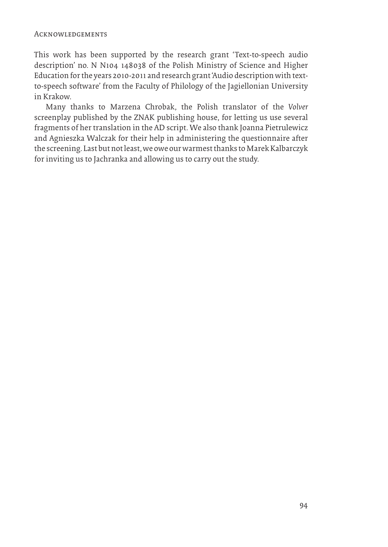This work has been supported by the research grant 'Text-to-speech audio description' no. N N104 148038 of the Polish Ministry of Science and Higher Education for the years 2010-2011 and research grant 'Audio description with textto-speech software' from the Faculty of Philology of the Jagiellonian University in Krakow.

Many thanks to Marzena Chrobak, the Polish translator of the *Volver* screenplay published by the ZNAK publishing house, for letting us use several fragments of her translation in the AD script. We also thank Joanna Pietrulewicz and Agnieszka Walczak for their help in administering the questionnaire after the screening. Last but not least, we owe our warmest thanks to Marek Kalbarczyk for inviting us to Jachranka and allowing us to carry out the study.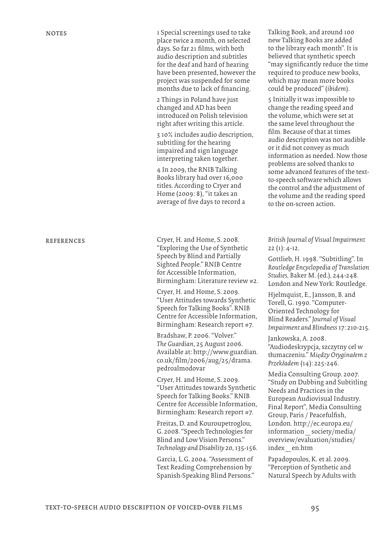notes 1 Special screenings used to take place twice a month, on selected days. So far 21 films, with both audio description and subtitles for the deaf and hard of hearing have been presented, however the project was suspended for some months due to lack of financing.

> 2 Things in Poland have just changed and AD has been introduced on Polish television right after writing this article.

3 10% includes audio description, subtitling for the hearing impaired and sign language interpreting taken together.

4 In 2009, the RNIB Talking Books library had over 16,000 titles. According to Cryer and Home (2009: 8), "it takes an average of five days to record a

REFERENCES Cryer, H. and Home, S. 2008. "Exploring the Use of Synthetic Speech by Blind and Partially Sighted People." RNIB Centre for Accessible Information, Birmingham: Literature review #2.

> Cryer, H. and Home, S. 2009. "User Attitudes towards Synthetic Speech for Talking Books". RNIB Centre for Accessible Information, Birmingham: Research report #7.

> Bradshaw, P. 2006. "Volver." *The Guardian*, 25 August 2006. Available at: http://www.guardian. co.uk/film/2006/aug/25/drama. pedroalmodovar

> Cryer, H. and Home, S. 2009. "User Attitudes towards Synthetic Speech for Talking Books." RNIB Centre for Accessible Information, Birmingham: Research report #7.

> Freitas, D. and Kouroupetroglou, G. 2008. "Speech Technologies for Blind and Low Vision Persons." *Technology and Disability* 20, 135-156.

Garcia, L.G. 2004. "Assessment of Text Reading Comprehension by Spanish-Speaking Blind Persons." Talking Book, and around 100 new Talking Books are added to the library each month". It is believed that synthetic speech "may significantly reduce the time required to produce new books, which may mean more books could be produced" (*ibidem*).

5 Initially it was impossible to change the reading speed and the volume, which were set at the same level throughout the film. Because of that at times audio description was not audible or it did not convey as much information as needed. Now those problems are solved thanks to some advanced features of the textto-speech software which allows the control and the adjustment of the volume and the reading speed to the on-screen action.

*British Journal of Visual Impairment* 22 (1): 4-12.

Gottlieb, H. 1998. "Subtitling". In *Routledge Encyclopedia of Translation Studies,* Baker M. (ed.)*,* 244-248. London and New York: Routledge.

Hjelmquist, E., Jansson, B. and Torell, G. 1990. "Computer-Oriented Technology for Blind Readers." *Journal of Visual Impairment and Blindness* 17: 210-215.

Jankowska, A. 2008. "Audiodeskrypcja, szczytny cel w tłumaczeniu." *Między Oryginałem z Przekładem* (14): 225-246.

Media Consulting Group. 2007. "Study on Dubbing and Subtitling Needs and Practices in the European Audiovisual Industry. Final Report", Media Consulting Group, Paris / Peacefulfish, London. http://ec.europa.eu/ information\_society/media/ overview/evaluation/studies/ index\_en.htm

Papadopoulos, K. et al. 2009. "Perception of Synthetic and Natural Speech by Adults with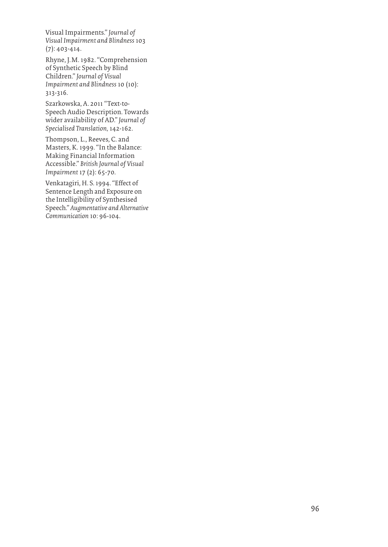Visual Impairments." *Journal of Visual Impairment and Blindness* 103 (7): 403-414.

Rhyne, J.M. 1982. "Comprehension of Synthetic Speech by Blind Children." *Journal of Visual Impairment and Blindness* 10 (10): 313-316.

Szarkowska, A. 2011 "Text-to-Speech Audio Description. Towards wider availability of AD." *Journal of Specialised Translation,* 142-162.

Thompson, L., Reeves, C. and Masters, K. 1999. "In the Balance: Making Financial Information Accessible." *British Journal of Visual Impairment* 17 (2): 65-70.

Venkatagiri, H. S. 1994. "Effect of Sentence Length and Exposure on the Intelligibility of Synthesised Speech." *Augmentative and Alternative Communication* 10: 96-104.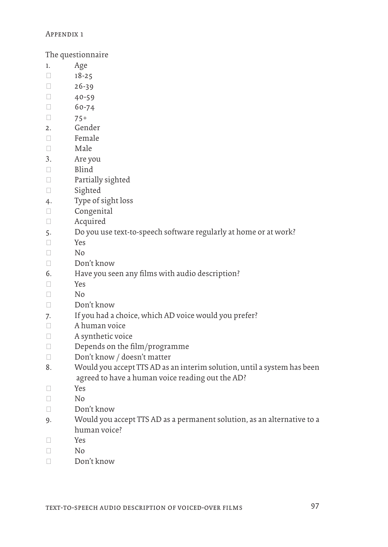## Appendix 1

The questionnaire

- 1. Age
- $18-25$
- $26-39$
- $\Box$  40-59
- $60-74$
- $\Box$  75+
- 2. Gender
- $\Box$  Female
- $\Box$  Male
- 3. Are you
- □ Blind
- Partially sighted
- □ Sighted
- 4. Type of sight loss
- Congenital
- Acquired
- 5. Do you use text-to-speech software regularly at home or at work?
- Yes
- $\neg$  No
- Don't know
- 6. Have you seen any films with audio description?
- Yes
- $\neg$  No
- Don't know
- 7. If you had a choice, which AD voice would you prefer?
- A human voice
- A synthetic voice
- Depends on the film/programme
- Don't know / doesn't matter
- 8. Would you accept TTS AD as an interim solution, until a system has been agreed to have a human voice reading out the AD?
- Yes
- $\neg$  No
- Don't know
- 9. Would you accept TTS AD as a permanent solution, as an alternative to a human voice?
- Yes
- $\Box$  No
- Don't know